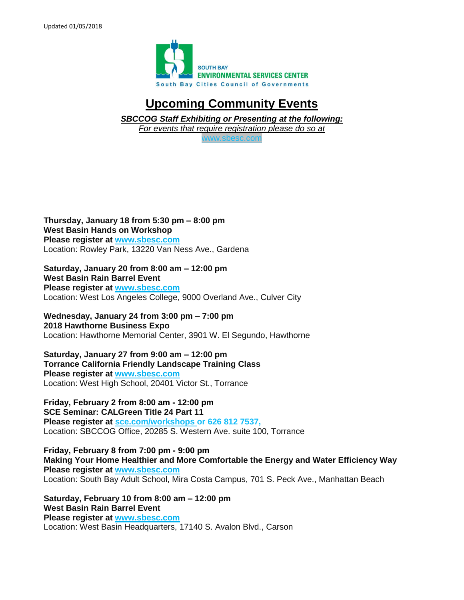

## **Upcoming Community Events**

*SBCCOG Staff Exhibiting or Presenting at the following:*

*For events that require registration please do so at* 

[www.sbesc.com](http://www.sbesc.com/)

**Thursday, January 18 from 5:30 pm – 8:00 pm West Basin Hands on Workshop Please register at [www.sbesc.com](http://www.sbesc.com/)** Location: Rowley Park, 13220 Van Ness Ave., Gardena

**Saturday, January 20 from 8:00 am – 12:00 pm West Basin Rain Barrel Event Please register at [www.sbesc.com](http://www.sbesc.com/)** Location: West Los Angeles College, 9000 Overland Ave., Culver City

**Wednesday, January 24 from 3:00 pm – 7:00 pm 2018 Hawthorne Business Expo**  Location: Hawthorne Memorial Center, 3901 W. El Segundo, Hawthorne

**Saturday, January 27 from 9:00 am – 12:00 pm Torrance California Friendly Landscape Training Class Please register at www.sbesc.com** Location: West High School, 20401 Victor St., Torrance

**Friday, February 2 from 8:00 am - 12:00 pm SCE Seminar: CALGreen Title 24 Part 11 Please register at sce.com/workshops or 626 812 7537,** Location: SBCCOG Office, 20285 S. Western Ave. suite 100, Torrance

**Friday, February 8 from 7:00 pm - 9:00 pm Making Your Home Healthier and More Comfortable the Energy and Water Efficiency Way Please register at [www.sbesc.com](http://www.sbesc.com/)** Location: South Bay Adult School, Mira Costa Campus, 701 S. Peck Ave., Manhattan Beach

**Saturday, February 10 from 8:00 am – 12:00 pm West Basin Rain Barrel Event Please register at www.sbesc.com** Location: West Basin Headquarters, 17140 S. Avalon Blvd., Carson